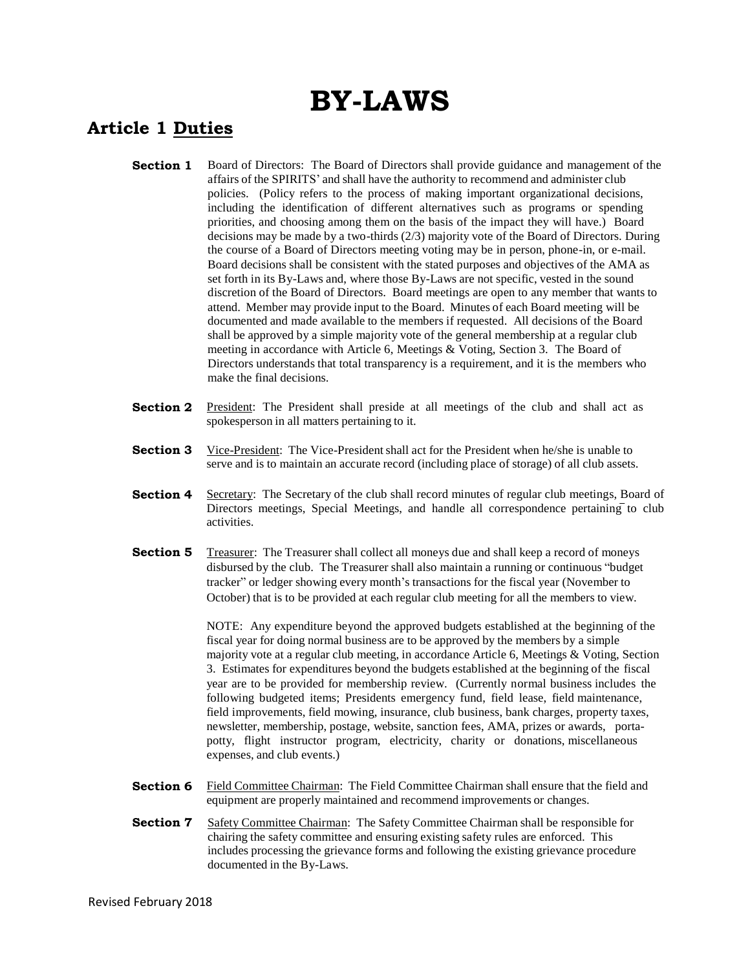# **BY-LAWS**

## **Article 1 Duties**

- **Section 1** Board of Directors: The Board of Directors shall provide guidance and management of the affairs of the SPIRITS' and shall have the authority to recommend and administer club policies. (Policy refers to the process of making important organizational decisions, including the identification of different alternatives such as programs or spending priorities, and choosing among them on the basis of the impact they will have.) Board decisions may be made by a two-thirds (2/3) majority vote of the Board of Directors. During the course of a Board of Directors meeting voting may be in person, phone-in, or e-mail. Board decisions shall be consistent with the stated purposes and objectives of the AMA as set forth in its By-Laws and, where those By-Laws are not specific, vested in the sound discretion of the Board of Directors. Board meetings are open to any member that wants to attend. Member may provide input to the Board. Minutes of each Board meeting will be documented and made available to the members if requested. All decisions of the Board shall be approved by a simple majority vote of the general membership at a regular club meeting in accordance with Article 6, Meetings & Voting, Section 3. The Board of Directors understands that total transparency is a requirement, and it is the members who make the final decisions.
- **Section 2** President: The President shall preside at all meetings of the club and shall act as spokesperson in all matters pertaining to it.
- **Section 3** Vice-President: The Vice-President shall act for the President when he/she is unable to serve and is to maintain an accurate record (including place of storage) of all club assets.
- **Section 4** Secretary: The Secretary of the club shall record minutes of regular club meetings, Board of Directors meetings, Special Meetings, and handle all correspondence pertaining to club activities.
- **Section 5** Treasurer: The Treasurer shall collect all moneys due and shall keep a record of moneys disbursed by the club. The Treasurer shall also maintain a running or continuous "budget tracker" or ledger showing every month's transactions for the fiscal year (November to October) that is to be provided at each regular club meeting for all the members to view.

NOTE: Any expenditure beyond the approved budgets established at the beginning of the fiscal year for doing normal business are to be approved by the members by a simple majority vote at a regular club meeting, in accordance Article 6, Meetings & Voting, Section 3. Estimates for expenditures beyond the budgets established at the beginning of the fiscal year are to be provided for membership review. (Currently normal business includes the following budgeted items; Presidents emergency fund, field lease, field maintenance, field improvements, field mowing, insurance, club business, bank charges, property taxes, newsletter, membership, postage, website, sanction fees, AMA, prizes or awards, portapotty, flight instructor program, electricity, charity or donations, miscellaneous expenses, and club events.)

- **Section 6** Field Committee Chairman: The Field Committee Chairman shall ensure that the field and equipment are properly maintained and recommend improvements or changes.
- **Section 7** Safety Committee Chairman: The Safety Committee Chairman shall be responsible for chairing the safety committee and ensuring existing safety rules are enforced. This includes processing the grievance forms and following the existing grievance procedure documented in the By-Laws.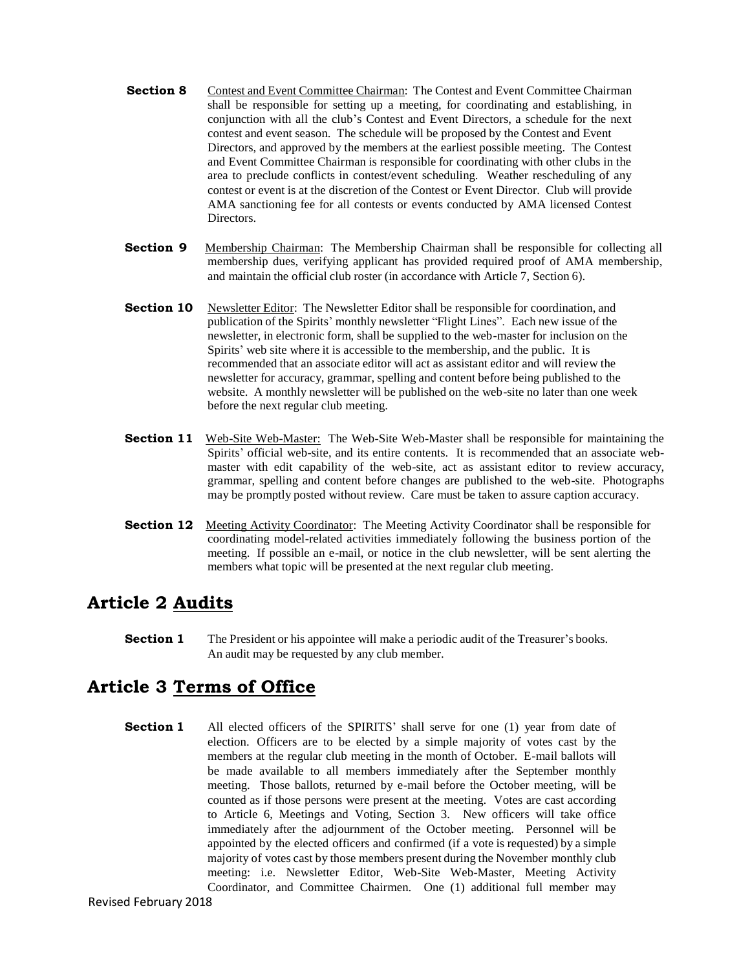- **Section 8** Contest and Event Committee Chairman: The Contest and Event Committee Chairman shall be responsible for setting up a meeting, for coordinating and establishing, in conjunction with all the club's Contest and Event Directors, a schedule for the next contest and event season. The schedule will be proposed by the Contest and Event Directors, and approved by the members at the earliest possible meeting. The Contest and Event Committee Chairman is responsible for coordinating with other clubs in the area to preclude conflicts in contest/event scheduling. Weather rescheduling of any contest or event is at the discretion of the Contest or Event Director. Club will provide AMA sanctioning fee for all contests or events conducted by AMA licensed Contest Directors.
- **Section 9** Membership Chairman: The Membership Chairman shall be responsible for collecting all membership dues, verifying applicant has provided required proof of AMA membership, and maintain the official club roster (in accordance with Article 7, Section 6).
- **Section 10** Newsletter Editor: The Newsletter Editor shall be responsible for coordination, and publication of the Spirits' monthly newsletter "Flight Lines". Each new issue of the newsletter, in electronic form, shall be supplied to the web-master for inclusion on the Spirits' web site where it is accessible to the membership, and the public. It is recommended that an associate editor will act as assistant editor and will review the newsletter for accuracy, grammar, spelling and content before being published to the website. A monthly newsletter will be published on the web-site no later than one week before the next regular club meeting.
- **Section 11** Web-Site Web-Master: The Web-Site Web-Master shall be responsible for maintaining the Spirits' official web-site, and its entire contents. It is recommended that an associate webmaster with edit capability of the web-site, act as assistant editor to review accuracy, grammar, spelling and content before changes are published to the web-site. Photographs may be promptly posted without review. Care must be taken to assure caption accuracy.
- **Section 12** Meeting Activity Coordinator: The Meeting Activity Coordinator shall be responsible for coordinating model-related activities immediately following the business portion of the meeting. If possible an e-mail, or notice in the club newsletter, will be sent alerting the members what topic will be presented at the next regular club meeting.

### **Article 2 Audits**

**Section 1** The President or his appointee will make a periodic audit of the Treasurer's books. An audit may be requested by any club member.

#### **Article 3 Terms of Office**

**Section 1** All elected officers of the SPIRITS' shall serve for one (1) year from date of election. Officers are to be elected by a simple majority of votes cast by the members at the regular club meeting in the month of October. E-mail ballots will be made available to all members immediately after the September monthly meeting. Those ballots, returned by e-mail before the October meeting, will be counted as if those persons were present at the meeting. Votes are cast according to Article 6, Meetings and Voting, Section 3. New officers will take office immediately after the adjournment of the October meeting. Personnel will be appointed by the elected officers and confirmed (if a vote is requested) by a simple majority of votes cast by those members present during the November monthly club meeting: i.e. Newsletter Editor, Web-Site Web-Master, Meeting Activity Coordinator, and Committee Chairmen. One (1) additional full member may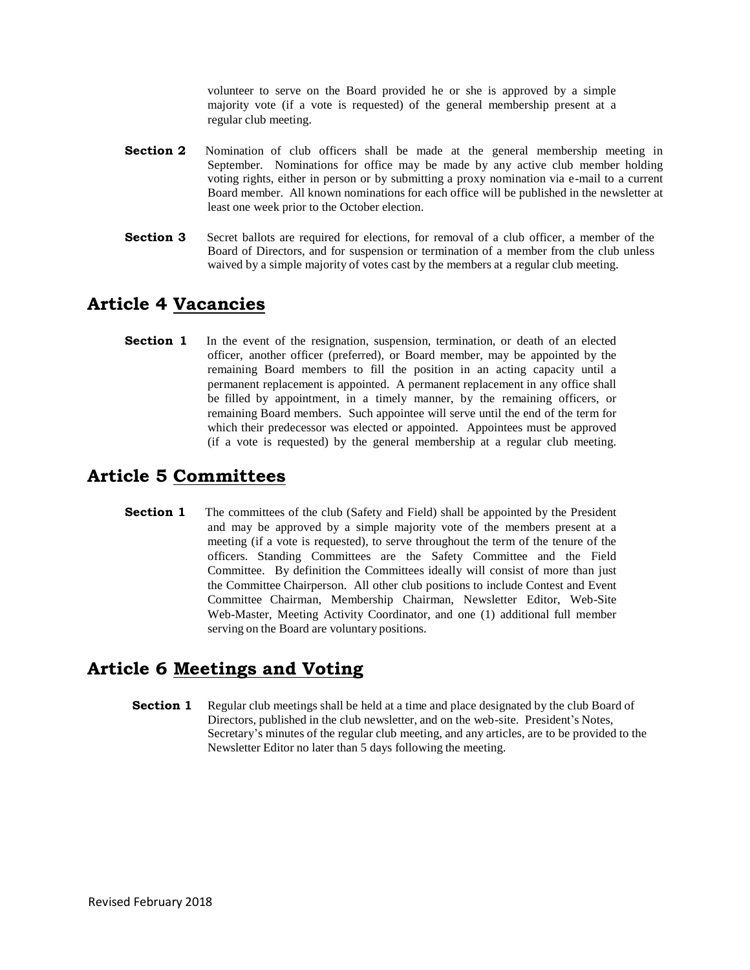volunteer to serve on the Board provided he or she is approved by a simple majority vote (if a vote is requested) of the general membership present at a regular club meeting.

- **Section 2** Nomination of club officers shall be made at the general membership meeting in September. Nominations for office may be made by any active club member holding voting rights, either in person or by submitting a proxy nomination via e-mail to a current Board member. All known nominations for each office will be published in the newsletter at least one week prior to the October election.
- **Section 3** Secret ballots are required for elections, for removal of a club officer, a member of the Board of Directors, and for suspension or termination of a member from the club unless waived by a simple majority of votes cast by the members at a regular club meeting.

#### **Article 4 Vacancies**

**Section 1** In the event of the resignation, suspension, termination, or death of an elected officer, another officer (preferred), or Board member, may be appointed by the remaining Board members to fill the position in an acting capacity until a permanent replacement is appointed. A permanent replacement in any office shall be filled by appointment, in a timely manner, by the remaining officers, or remaining Board members. Such appointee will serve until the end of the term for which their predecessor was elected or appointed. Appointees must be approved (if a vote is requested) by the general membership at a regular club meeting.

#### **Article 5 Committees**

**Section 1** The committees of the club (Safety and Field) shall be appointed by the President and may be approved by a simple majority vote of the members present at a meeting (if a vote is requested), to serve throughout the term of the tenure of the officers. Standing Committees are the Safety Committee and the Field Committee. By definition the Committees ideally will consist of more than just the Committee Chairperson. All other club positions to include Contest and Event Committee Chairman, Membership Chairman, Newsletter Editor, Web-Site Web-Master, Meeting Activity Coordinator, and one (1) additional full member serving on the Board are voluntary positions.

#### **Article 6 Meetings and Voting**

**Section 1** Regular club meetings shall be held at a time and place designated by the club Board of Directors, published in the club newsletter, and on the web-site. President's Notes, Secretary's minutes of the regular club meeting, and any articles, are to be provided to the Newsletter Editor no later than 5 days following the meeting.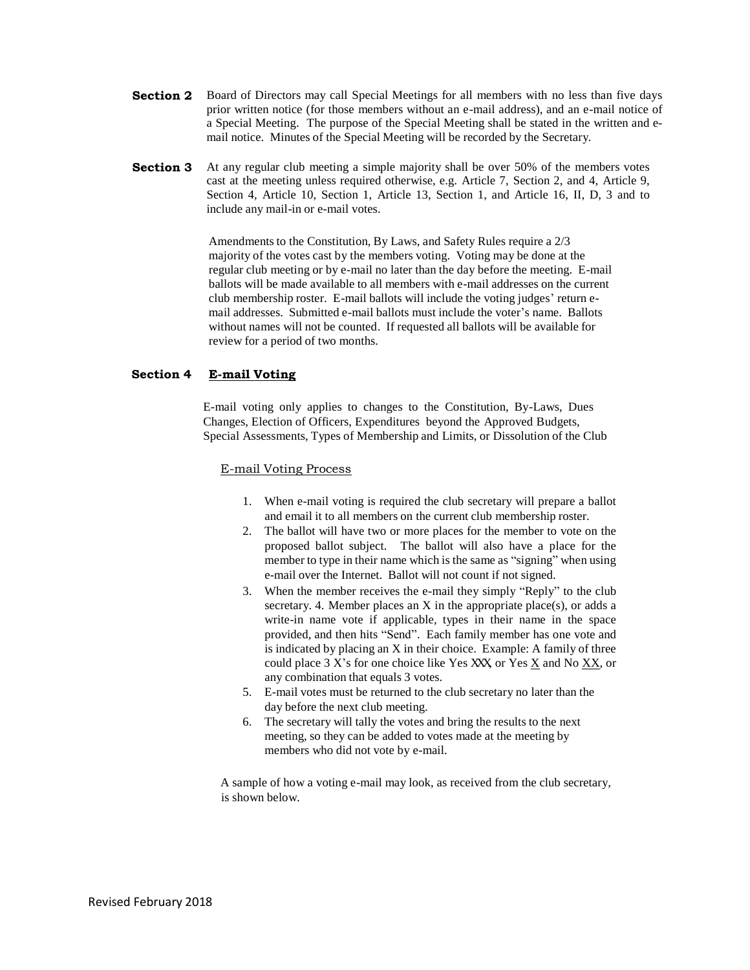- **Section 2** Board of Directors may call Special Meetings for all members with no less than five days prior written notice (for those members without an e-mail address), and an e-mail notice of a Special Meeting. The purpose of the Special Meeting shall be stated in the written and email notice. Minutes of the Special Meeting will be recorded by the Secretary.
- **Section 3** At any regular club meeting a simple majority shall be over 50% of the members votes cast at the meeting unless required otherwise, e.g. Article 7, Section 2, and 4, Article 9, Section 4, Article 10, Section 1, Article 13, Section 1, and Article 16, II, D, 3 and to include any mail-in or e-mail votes.

Amendments to the Constitution, By Laws, and Safety Rules require a  $2/3$ majority of the votes cast by the members voting. Voting may be done at the regular club meeting or by e-mail no later than the day before the meeting. E-mail ballots will be made available to all members with e-mail addresses on the current club membership roster. E-mail ballots will include the voting judges' return email addresses. Submitted e-mail ballots must include the voter's name. Ballots without names will not be counted. If requested all ballots will be available for review for a period of two months.

#### **Section 4 E-mail Voting**

E-mail voting only applies to changes to the Constitution, By-Laws, Dues Changes, Election of Officers, Expenditures beyond the Approved Budgets, Special Assessments, Types of Membership and Limits, or Dissolution of the Club

#### E-mail Voting Process

- 1. When e-mail voting is required the club secretary will prepare a ballot and email it to all members on the current club membership roster.
- 2. The ballot will have two or more places for the member to vote on the proposed ballot subject. The ballot will also have a place for the member to type in their name which is the same as "signing" when using e-mail over the Internet. Ballot will not count if not signed.
- 3. When the member receives the e-mail they simply "Reply" to the club secretary. 4. Member places an X in the appropriate place(s), or adds a write-in name vote if applicable, types in their name in the space provided, and then hits "Send". Each family member has one vote and is indicated by placing an X in their choice. Example: A family of three could place 3 X's for one choice like Yes XXX, or Yes X and No XX, or any combination that equals 3 votes.
- 5. E-mail votes must be returned to the club secretary no later than the day before the next club meeting.
- 6. The secretary will tally the votes and bring the results to the next meeting, so they can be added to votes made at the meeting by members who did not vote by e-mail.

A sample of how a voting e-mail may look, as received from the club secretary, is shown below.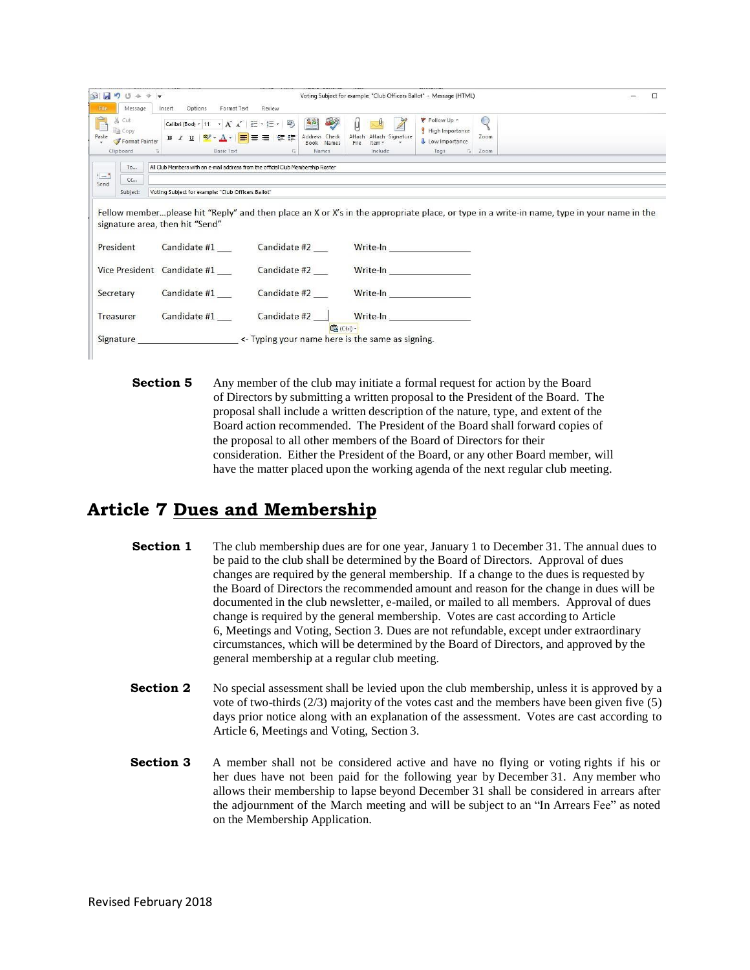|                                                                               | $\overline{\triangledown}$ $\overline{\triangledown}$                                                                                |                                                                                  | Voting Subject for example: "Club Officers Ballot" - Message (HTML)                                                                                                                                                            |                                                                                 |                            | □                                                                                                                                         |
|-------------------------------------------------------------------------------|--------------------------------------------------------------------------------------------------------------------------------------|----------------------------------------------------------------------------------|--------------------------------------------------------------------------------------------------------------------------------------------------------------------------------------------------------------------------------|---------------------------------------------------------------------------------|----------------------------|-------------------------------------------------------------------------------------------------------------------------------------------|
| Message<br>File<br>Cut<br><b>Copy</b><br>Paste<br>Format Painter<br>Clipboard | Format Text<br>Options<br>Insert<br>Calibri (Bod) + 11 · A A   三 · 三 · 吗<br>$B$ $I$ $U$ $V$ $A$ $V$ $E$<br><b>Basic Text</b><br>Fall | Review<br>$\frac{1}{2}$<br>88<br>Address Check<br>■ 種 種<br>Book Names<br>Names   | Attach<br>Attach Signature<br>File<br>Item *<br>Include                                                                                                                                                                        | Follow Up *<br>High Importance<br>Low Importance<br>Tags<br>$\overline{\omega}$ | $\bigcirc$<br>Zoom<br>Zoom |                                                                                                                                           |
| To<br>$=$<br>Cc<br>Send                                                       |                                                                                                                                      | All Club Members with an e-mail address from the official Club Membership Roster |                                                                                                                                                                                                                                |                                                                                 |                            |                                                                                                                                           |
| Subject:                                                                      | Voting Subject for example: "Club Officers Ballot"                                                                                   |                                                                                  |                                                                                                                                                                                                                                |                                                                                 |                            |                                                                                                                                           |
|                                                                               | signature area, then hit "Send"                                                                                                      |                                                                                  |                                                                                                                                                                                                                                |                                                                                 |                            |                                                                                                                                           |
| President                                                                     | Candidate #1                                                                                                                         | Candidate #2                                                                     | Write-In <b>Write-In</b>                                                                                                                                                                                                       |                                                                                 |                            |                                                                                                                                           |
|                                                                               | Vice President Candidate #1                                                                                                          | Candidate #2                                                                     | Write-In <b>White-In</b>                                                                                                                                                                                                       |                                                                                 |                            | Fellow memberplease hit "Reply" and then place an X or X's in the appropriate place, or type in a write-in name, type in your name in the |
| Secretary                                                                     | Candidate #1                                                                                                                         | Candidate #2                                                                     | Write-In and the contract of the contract of the contract of the contract of the contract of the contract of the contract of the contract of the contract of the contract of the contract of the contract of the contract of t |                                                                                 |                            |                                                                                                                                           |
| Treasurer                                                                     | Candidate #1                                                                                                                         | Candidate #2                                                                     | Write-In <b>Write-In</b><br><b>B</b> (Ctrl) ▼                                                                                                                                                                                  |                                                                                 |                            |                                                                                                                                           |

**Section 5** Any member of the club may initiate a formal request for action by the Board of Directors by submitting a written proposal to the President of the Board. The proposal shall include a written description of the nature, type, and extent of the Board action recommended. The President of the Board shall forward copies of the proposal to all other members of the Board of Directors for their consideration. Either the President of the Board, or any other Board member, will have the matter placed upon the working agenda of the next regular club meeting.

### **Article 7 Dues and Membership**

- **Section 1** The club membership dues are for one year, January 1 to December 31. The annual dues to be paid to the club shall be determined by the Board of Directors. Approval of dues changes are required by the general membership. If a change to the dues is requested by the Board of Directors the recommended amount and reason for the change in dues will be documented in the club newsletter, e-mailed, or mailed to all members. Approval of dues change is required by the general membership. Votes are cast according to Article 6, Meetings and Voting, Section 3. Dues are not refundable, except under extraordinary circumstances, which will be determined by the Board of Directors, and approved by the general membership at a regular club meeting.
- **Section 2** No special assessment shall be levied upon the club membership, unless it is approved by a vote of two-thirds  $(2/3)$  majority of the votes cast and the members have been given five (5) days prior notice along with an explanation of the assessment. Votes are cast according to Article 6, Meetings and Voting, Section 3.
- **Section 3** A member shall not be considered active and have no flying or voting rights if his or her dues have not been paid for the following year by December 31. Any member who allows their membership to lapse beyond December 31 shall be considered in arrears after the adjournment of the March meeting and will be subject to an "In Arrears Fee" as noted on the Membership Application.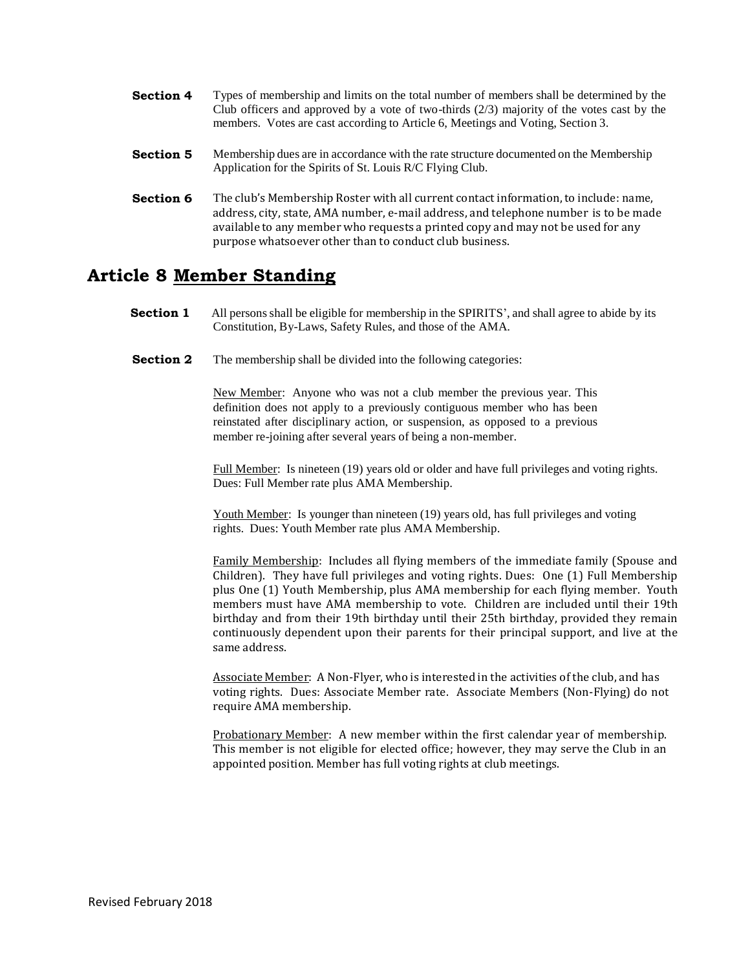- **Section 4** Types of membership and limits on the total number of members shall be determined by the Club officers and approved by a vote of two-thirds  $(2/3)$  majority of the votes cast by the members. Votes are cast according to Article 6, Meetings and Voting, Section 3.
- **Section 5** Membership dues are in accordance with the rate structure documented on the Membership Application for the Spirits of St. Louis R/C Flying Club.
- **Section 6** The club's Membership Roster with all current contact information, to include: name, address, city, state, AMA number, e-mail address, and telephone number is to be made available to any member who requests a printed copy and may not be used for any purpose whatsoever other than to conduct club business.

### **Article 8 Member Standing**

- **Section 1** All persons shall be eligible for membership in the SPIRITS', and shall agree to abide by its Constitution, By-Laws, Safety Rules, and those of the AMA.
- **Section 2** The membership shall be divided into the following categories:

New Member: Anyone who was not a club member the previous year. This definition does not apply to a previously contiguous member who has been reinstated after disciplinary action, or suspension, as opposed to a previous member re-joining after several years of being a non-member.

Full Member: Is nineteen (19) years old or older and have full privileges and voting rights. Dues: Full Member rate plus AMA Membership.

Youth Member: Is younger than nineteen (19) years old, has full privileges and voting rights. Dues: Youth Member rate plus AMA Membership.

Family Membership: Includes all flying members of the immediate family (Spouse and Children). They have full privileges and voting rights. Dues: One (1) Full Membership plus One (1) Youth Membership, plus AMA membership for each flying member. Youth members must have AMA membership to vote. Children are included until their 19th birthday and from their 19th birthday until their 25th birthday, provided they remain continuously dependent upon their parents for their principal support, and live at the same address.

Associate Member: A Non-Flyer, who is interested in the activities of the club, and has voting rights. Dues: Associate Member rate. Associate Members (Non-Flying) do not require AMA membership.

Probationary Member: A new member within the first calendar year of membership. This member is not eligible for elected office; however, they may serve the Club in an appointed position. Member has full voting rights at club meetings.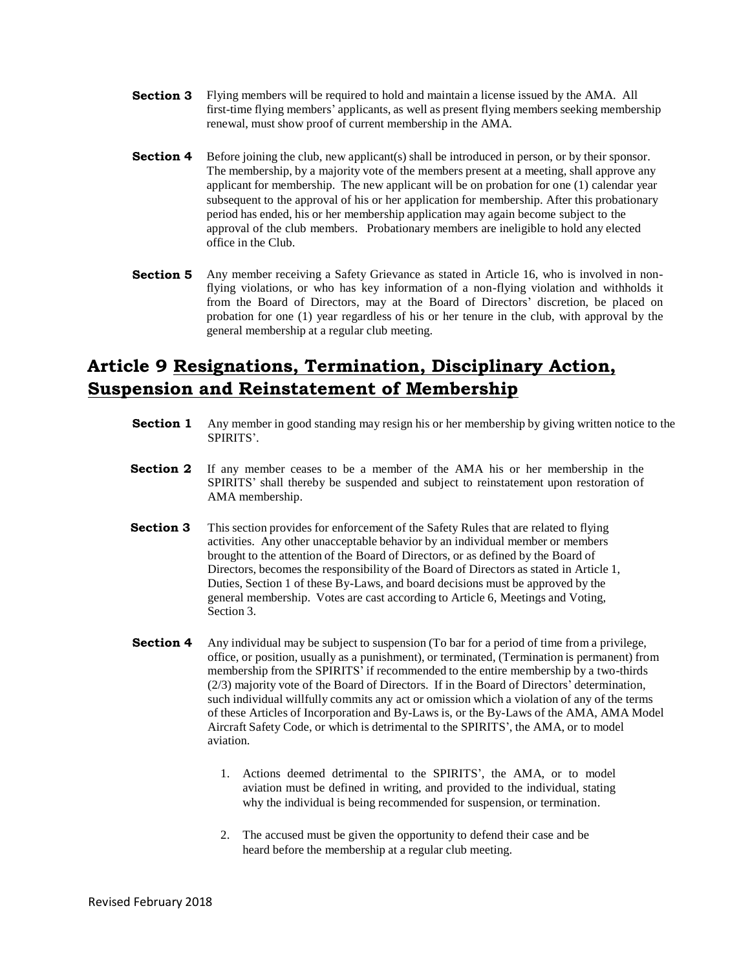- **Section 3** Flying members will be required to hold and maintain a license issued by the AMA. All first-time flying members' applicants, as well as present flying members seeking membership renewal, must show proof of current membership in the AMA.
- **Section 4** Before joining the club, new applicant(s) shall be introduced in person, or by their sponsor. The membership, by a majority vote of the members present at a meeting, shall approve any applicant for membership. The new applicant will be on probation for one (1) calendar year subsequent to the approval of his or her application for membership. After this probationary period has ended, his or her membership application may again become subject to the approval of the club members. Probationary members are ineligible to hold any elected office in the Club.
- **Section 5** Any member receiving a Safety Grievance as stated in Article 16, who is involved in nonflying violations, or who has key information of a non-flying violation and withholds it from the Board of Directors, may at the Board of Directors' discretion, be placed on probation for one (1) year regardless of his or her tenure in the club, with approval by the general membership at a regular club meeting.

# **Article 9 Resignations, Termination, Disciplinary Action, Suspension and Reinstatement of Membership**

- **Section 1** Any member in good standing may resign his or her membership by giving written notice to the SPIRITS'.
- **Section 2** If any member ceases to be a member of the AMA his or her membership in the SPIRITS' shall thereby be suspended and subject to reinstatement upon restoration of AMA membership.
- **Section 3** This section provides for enforcement of the Safety Rules that are related to flying activities. Any other unacceptable behavior by an individual member or members brought to the attention of the Board of Directors, or as defined by the Board of Directors, becomes the responsibility of the Board of Directors as stated in Article 1, Duties, Section 1 of these By-Laws, and board decisions must be approved by the general membership. Votes are cast according to Article 6, Meetings and Voting, Section 3.
- **Section 4** Any individual may be subject to suspension (To bar for a period of time from a privilege, office, or position, usually as a punishment), or terminated, (Termination is permanent) from membership from the SPIRITS' if recommended to the entire membership by a two-thirds (2/3) majority vote of the Board of Directors. If in the Board of Directors' determination, such individual willfully commits any act or omission which a violation of any of the terms of these Articles of Incorporation and By-Laws is, or the By-Laws of the AMA, AMA Model Aircraft Safety Code, or which is detrimental to the SPIRITS', the AMA, or to model aviation.
	- 1. Actions deemed detrimental to the SPIRITS', the AMA, or to model aviation must be defined in writing, and provided to the individual, stating why the individual is being recommended for suspension, or termination.
	- 2. The accused must be given the opportunity to defend their case and be heard before the membership at a regular club meeting.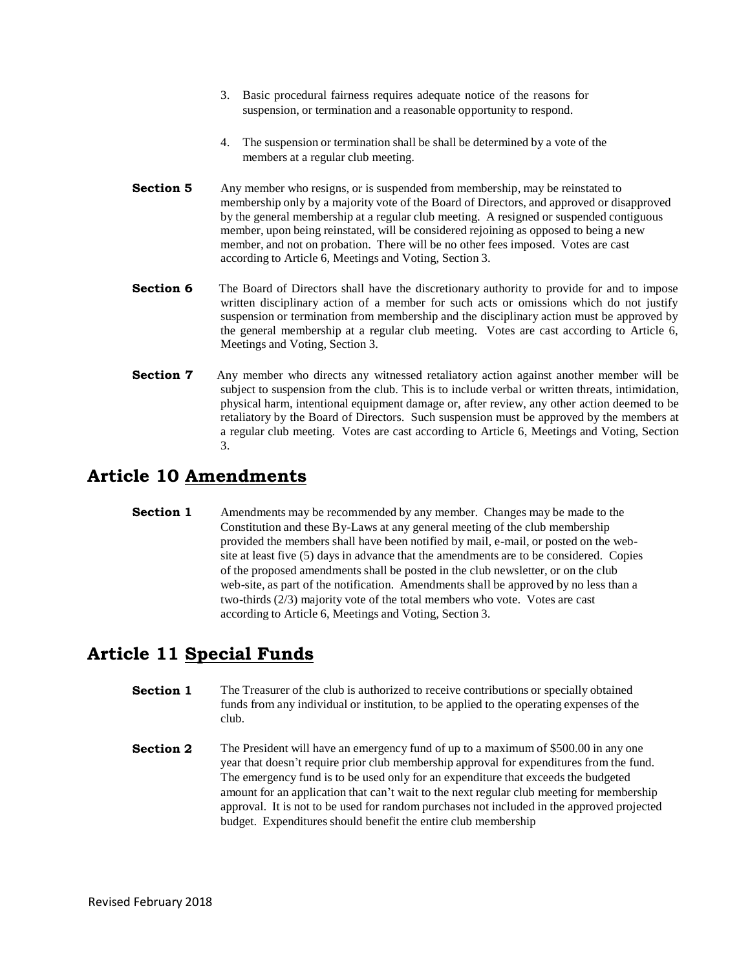- 3. Basic procedural fairness requires adequate notice of the reasons for suspension, or termination and a reasonable opportunity to respond.
- 4. The suspension or termination shall be shall be determined by a vote of the members at a regular club meeting.
- **Section 5** Any member who resigns, or is suspended from membership, may be reinstated to membership only by a majority vote of the Board of Directors, and approved or disapproved by the general membership at a regular club meeting. A resigned or suspended contiguous member, upon being reinstated, will be considered rejoining as opposed to being a new member, and not on probation. There will be no other fees imposed. Votes are cast according to Article 6, Meetings and Voting, Section 3.
- **Section 6** The Board of Directors shall have the discretionary authority to provide for and to impose written disciplinary action of a member for such acts or omissions which do not justify suspension or termination from membership and the disciplinary action must be approved by the general membership at a regular club meeting. Votes are cast according to Article 6, Meetings and Voting, Section 3.
- **Section 7** Any member who directs any witnessed retaliatory action against another member will be subject to suspension from the club. This is to include verbal or written threats, intimidation, physical harm, intentional equipment damage or, after review, any other action deemed to be retaliatory by the Board of Directors. Such suspension must be approved by the members at a regular club meeting. Votes are cast according to Article 6, Meetings and Voting, Section 3.

# **Article 10 Amendments**

**Section 1** Amendments may be recommended by any member. Changes may be made to the Constitution and these By-Laws at any general meeting of the club membership provided the members shall have been notified by mail, e-mail, or posted on the website at least five (5) days in advance that the amendments are to be considered. Copies of the proposed amendments shall be posted in the club newsletter, or on the club web-site, as part of the notification. Amendments shall be approved by no less than a two-thirds (2/3) majority vote of the total members who vote. Votes are cast according to Article 6, Meetings and Voting, Section 3.

### **Article 11 Special Funds**

- **Section 1** The Treasurer of the club is authorized to receive contributions or specially obtained funds from any individual or institution, to be applied to the operating expenses of the club.
- **Section 2** The President will have an emergency fund of up to a maximum of \$500.00 in any one year that doesn't require prior club membership approval for expenditures from the fund. The emergency fund is to be used only for an expenditure that exceeds the budgeted amount for an application that can't wait to the next regular club meeting for membership approval. It is not to be used for random purchases not included in the approved projected budget. Expenditures should benefit the entire club membership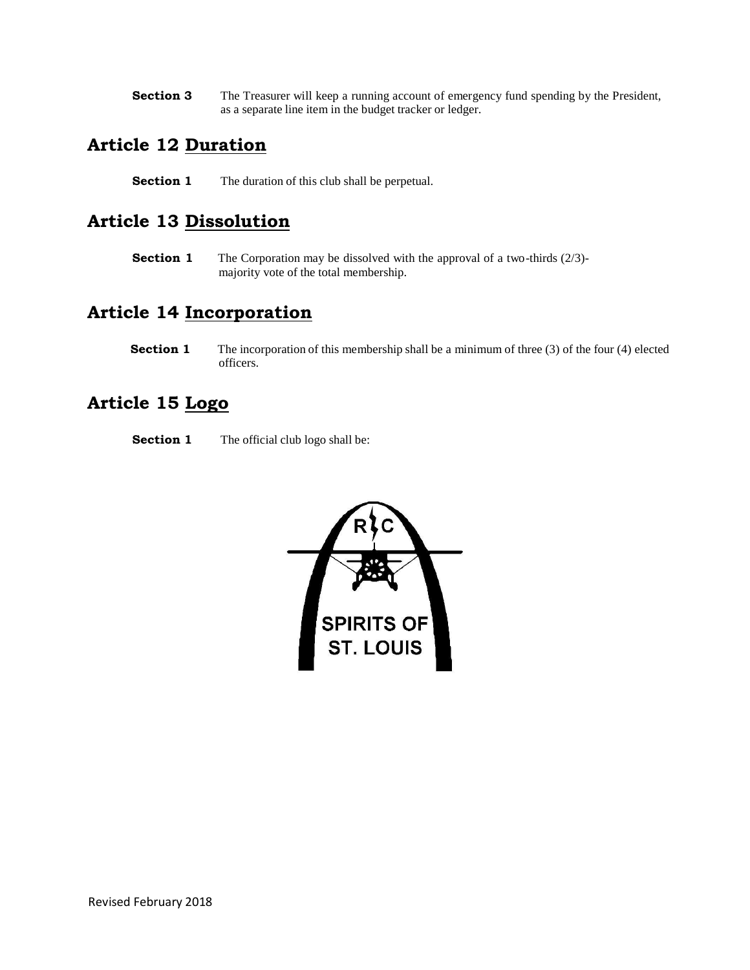**Section 3** The Treasurer will keep a running account of emergency fund spending by the President, as a separate line item in the budget tracker or ledger.

#### **Article 12 Duration**

**Section 1** The duration of this club shall be perpetual.

### **Article 13 Dissolution**

**Section 1** The Corporation may be dissolved with the approval of a two-thirds (2/3)majority vote of the total membership.

## **Article 14 Incorporation**

**Section 1** The incorporation of this membership shall be a minimum of three (3) of the four (4) elected officers.

## **Article 15 Logo**

**Section 1** The official club logo shall be:

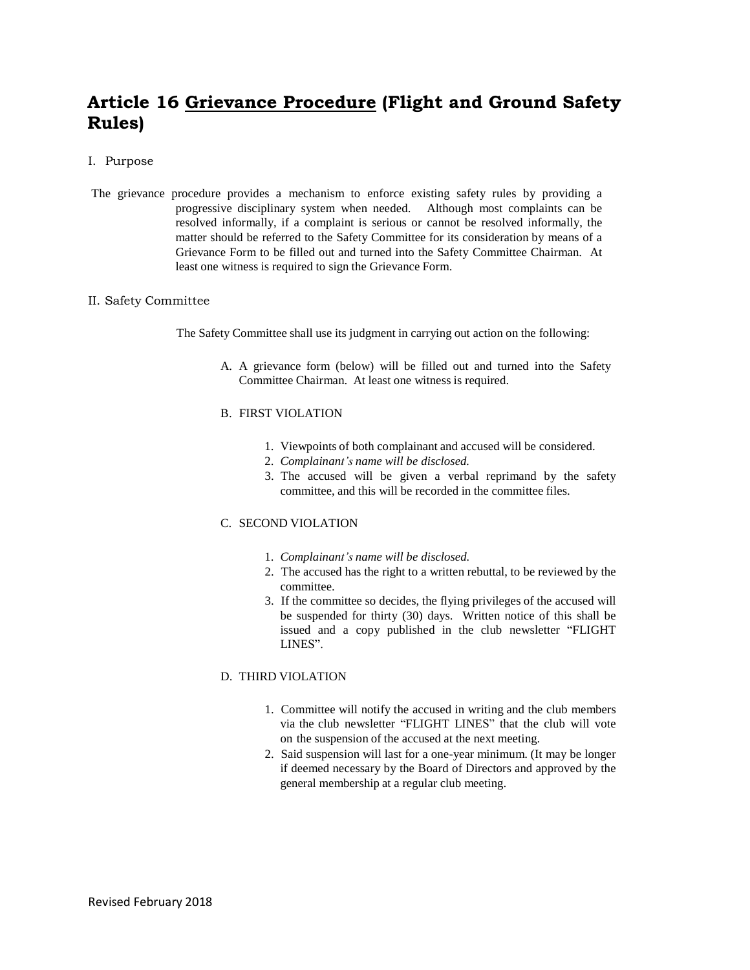# **Article 16 Grievance Procedure (Flight and Ground Safety Rules)**

#### I. Purpose

The grievance procedure provides a mechanism to enforce existing safety rules by providing a progressive disciplinary system when needed. Although most complaints can be resolved informally, if a complaint is serious or cannot be resolved informally, the matter should be referred to the Safety Committee for its consideration by means of a Grievance Form to be filled out and turned into the Safety Committee Chairman. At least one witness is required to sign the Grievance Form.

#### II. Safety Committee

The Safety Committee shall use its judgment in carrying out action on the following:

A. A grievance form (below) will be filled out and turned into the Safety Committee Chairman. At least one witness is required.

#### B. FIRST VIOLATION

- 1. Viewpoints of both complainant and accused will be considered.
- 2. *Complainant's name will be disclosed.*
- 3. The accused will be given a verbal reprimand by the safety committee, and this will be recorded in the committee files.

#### C. SECOND VIOLATION

- 1. *Complainant's name will be disclosed.*
- 2. The accused has the right to a written rebuttal, to be reviewed by the committee.
- 3. If the committee so decides, the flying privileges of the accused will be suspended for thirty (30) days. Written notice of this shall be issued and a copy published in the club newsletter "FLIGHT LINES".

#### D. THIRD VIOLATION

- 1. Committee will notify the accused in writing and the club members via the club newsletter "FLIGHT LINES" that the club will vote on the suspension of the accused at the next meeting.
- 2. Said suspension will last for a one-year minimum. (It may be longer if deemed necessary by the Board of Directors and approved by the general membership at a regular club meeting.